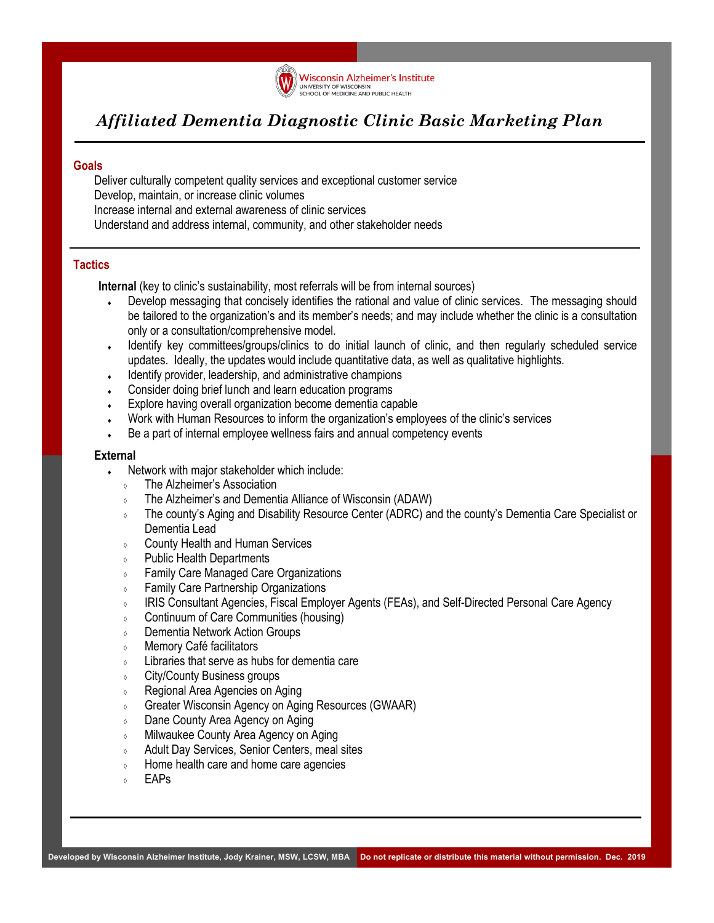

# *Affiliated Dementia Diagnostic Clinic Basic Marketing Plan*

## **Goals**

Deliver culturally competent quality services and exceptional customer service Develop, maintain, or increase clinic volumes Increase internal and external awareness of clinic services Understand and address internal, community, and other stakeholder needs

# **Tactics**

**Internal** (key to clinic's sustainability, most referrals will be from internal sources)

- Develop messaging that concisely identifies the rational and value of clinic services. The messaging should be tailored to the organization's and its member's needs; and may include whether the clinic is a consultation only or a consultation/comprehensive model.
- Identify key committees/groups/clinics to do initial launch of clinic, and then regularly scheduled service updates. Ideally, the updates would include quantitative data, as well as qualitative highlights.
- Identify provider, leadership, and administrative champions
- Consider doing brief lunch and learn education programs
- Explore having overall organization become dementia capable
- Work with Human Resources to inform the organization's employees of the clinic's services
- Be a part of internal employee wellness fairs and annual competency events

#### **External**

- Network with major stakeholder which include:
	- The Alzheimer's Association
	- The Alzheimer's and Dementia Alliance of Wisconsin (ADAW)
	- The county's Aging and Disability Resource Center (ADRC) and the county's Dementia Care Specialist or Dementia Lead
	- County Health and Human Services
	- Public Health Departments
	- Family Care Managed Care Organizations
	- Family Care Partnership Organizations
	- IRIS Consultant Agencies, Fiscal Employer Agents (FEAs), and Self-Directed Personal Care Agency
	- Continuum of Care Communities (housing)
	- Dementia Network Action Groups
	- Memory Café facilitators
	- $\circ$  Libraries that serve as hubs for dementia care
	- City/County Business groups
	- Regional Area Agencies on Aging
	- **Greater Wisconsin Agency on Aging Resources (GWAAR)**
	- Dane County Area Agency on Aging
	- Milwaukee County Area Agency on Aging
	- Adult Day Services, Senior Centers, meal sites
	- **IDUM** Home health care and home care agencies
	- $\circ$  FAPs